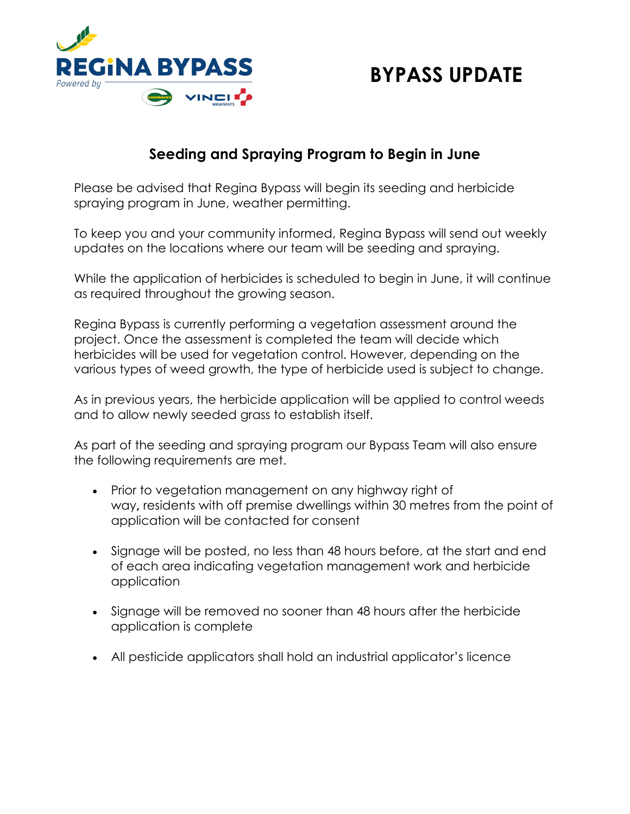

## **BYPASS UPDATE**

## **Seeding and Spraying Program to Begin in June**

Please be advised that Regina Bypass will begin its seeding and herbicide spraying program in June, weather permitting.

To keep you and your community informed, Regina Bypass will send out weekly updates on the locations where our team will be seeding and spraying.

While the application of herbicides is scheduled to begin in June, it will continue as required throughout the growing season.

Regina Bypass is currently performing a vegetation assessment around the project. Once the assessment is completed the team will decide which herbicides will be used for vegetation control. However, depending on the various types of weed growth, the type of herbicide used is subject to change.

As in previous years, the herbicide application will be applied to control weeds and to allow newly seeded grass to establish itself.

As part of the seeding and spraying program our Bypass Team will also ensure the following requirements are met.

- Prior to vegetation management on any highway right of way**,** residents with off premise dwellings within 30 metres from the point of application will be contacted for consent
- Signage will be posted, no less than 48 hours before, at the start and end of each area indicating vegetation management work and herbicide application
- Signage will be removed no sooner than 48 hours after the herbicide application is complete
- All pesticide applicators shall hold an industrial applicator's licence